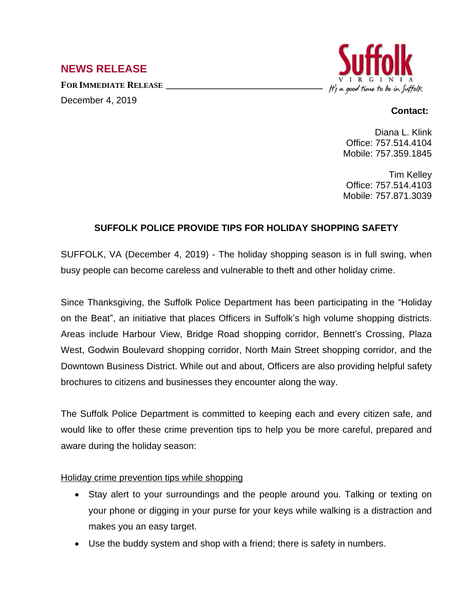# **NEWS RELEASE**

**FOR IMMEDIATE RELEASE \_\_\_\_\_\_\_\_\_\_\_\_\_\_\_\_\_\_\_\_\_\_\_\_\_\_\_\_\_\_\_\_\_\_** December 4, 2019



## **Contact:**

Diana L. Klink Office: 757.514.4104 Mobile: 757.359.1845

Tim Kelley Office: 757.514.4103 Mobile: 757.871.3039

## **SUFFOLK POLICE PROVIDE TIPS FOR HOLIDAY SHOPPING SAFETY**

SUFFOLK, VA (December 4, 2019) - The holiday shopping season is in full swing, when busy people can become careless and vulnerable to theft and other holiday crime.

Since Thanksgiving, the Suffolk Police Department has been participating in the "Holiday on the Beat", an initiative that places Officers in Suffolk's high volume shopping districts. Areas include Harbour View, Bridge Road shopping corridor, Bennett's Crossing, Plaza West, Godwin Boulevard shopping corridor, North Main Street shopping corridor, and the Downtown Business District. While out and about, Officers are also providing helpful safety brochures to citizens and businesses they encounter along the way.

The Suffolk Police Department is committed to keeping each and every citizen safe, and would like to offer these crime prevention tips to help you be more careful, prepared and aware during the holiday season:

#### Holiday crime prevention tips while shopping

- Stay alert to your surroundings and the people around you. Talking or texting on your phone or digging in your purse for your keys while walking is a distraction and makes you an easy target.
- Use the buddy system and shop with a friend; there is safety in numbers.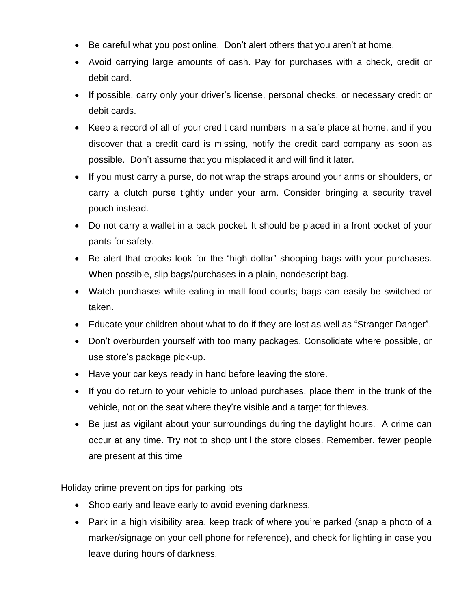- Be careful what you post online. Don't alert others that you aren't at home.
- Avoid carrying large amounts of cash. Pay for purchases with a check, credit or debit card.
- If possible, carry only your driver's license, personal checks, or necessary credit or debit cards.
- Keep a record of all of your credit card numbers in a safe place at home, and if you discover that a credit card is missing, notify the credit card company as soon as possible. Don't assume that you misplaced it and will find it later.
- If you must carry a purse, do not wrap the straps around your arms or shoulders, or carry a clutch purse tightly under your arm. Consider bringing a security travel pouch instead.
- Do not carry a wallet in a back pocket. It should be placed in a front pocket of your pants for safety.
- Be alert that crooks look for the "high dollar" shopping bags with your purchases. When possible, slip bags/purchases in a plain, nondescript bag.
- Watch purchases while eating in mall food courts; bags can easily be switched or taken.
- Educate your children about what to do if they are lost as well as "Stranger Danger".
- Don't overburden yourself with too many packages. Consolidate where possible, or use store's package pick-up.
- Have your car keys ready in hand before leaving the store.
- If you do return to your vehicle to unload purchases, place them in the trunk of the vehicle, not on the seat where they're visible and a target for thieves.
- Be just as vigilant about your surroundings during the daylight hours. A crime can occur at any time. Try not to shop until the store closes. Remember, fewer people are present at this time

## Holiday crime prevention tips for parking lots

- Shop early and leave early to avoid evening darkness.
- Park in a high visibility area, keep track of where you're parked (snap a photo of a marker/signage on your cell phone for reference), and check for lighting in case you leave during hours of darkness.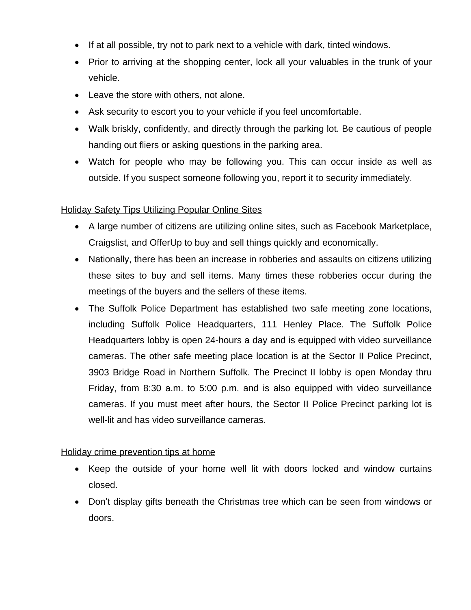- If at all possible, try not to park next to a vehicle with dark, tinted windows.
- Prior to arriving at the shopping center, lock all your valuables in the trunk of your vehicle.
- Leave the store with others, not alone.
- Ask security to escort you to your vehicle if you feel uncomfortable.
- Walk briskly, confidently, and directly through the parking lot. Be cautious of people handing out fliers or asking questions in the parking area.
- Watch for people who may be following you. This can occur inside as well as outside. If you suspect someone following you, report it to security immediately.

### Holiday Safety Tips Utilizing Popular Online Sites

- A large number of citizens are utilizing online sites, such as Facebook Marketplace, Craigslist, and OfferUp to buy and sell things quickly and economically.
- Nationally, there has been an increase in robberies and assaults on citizens utilizing these sites to buy and sell items. Many times these robberies occur during the meetings of the buyers and the sellers of these items.
- The Suffolk Police Department has established two safe meeting zone locations, including Suffolk Police Headquarters, 111 Henley Place. The Suffolk Police Headquarters lobby is open 24-hours a day and is equipped with video surveillance cameras. The other safe meeting place location is at the Sector II Police Precinct, 3903 Bridge Road in Northern Suffolk. The Precinct II lobby is open Monday thru Friday, from 8:30 a.m. to 5:00 p.m. and is also equipped with video surveillance cameras. If you must meet after hours, the Sector II Police Precinct parking lot is well-lit and has video surveillance cameras.

#### Holiday crime prevention tips at home

- Keep the outside of your home well lit with doors locked and window curtains closed.
- Don't display gifts beneath the Christmas tree which can be seen from windows or doors.